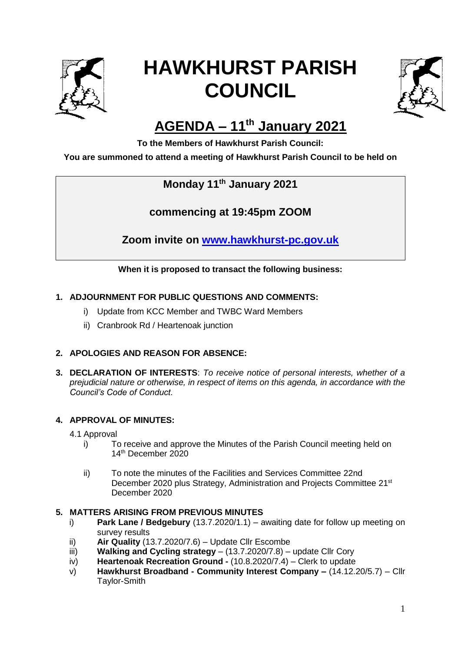

# **HAWKHURST PARISH COUNCIL**



## **AGENDA – 11 th January 2021**

**To the Members of Hawkhurst Parish Council:**

#### **You are summoned to attend a meeting of Hawkhurst Parish Council to be held on**

### **Monday 11th January 2021**

**commencing at 19:45pm ZOOM**

**Zoom invite on [www.hawkhurst-pc.gov.uk](http://www.hawkhurst-pc.gov.uk/)**

**When it is proposed to transact the following business:**

#### **1. ADJOURNMENT FOR PUBLIC QUESTIONS AND COMMENTS:**

- i) Update from KCC Member and TWBC Ward Members
- ii) Cranbrook Rd / Heartenoak junction

#### **2. APOLOGIES AND REASON FOR ABSENCE:**

**3. DECLARATION OF INTERESTS**: *To receive notice of personal interests, whether of a prejudicial nature or otherwise, in respect of items on this agenda, in accordance with the Council's Code of Conduct.*

#### **4. APPROVAL OF MINUTES:**

- 4.1 Approval
	- i) To receive and approve the Minutes of the Parish Council meeting held on 14th December 2020
	- ii) To note the minutes of the Facilities and Services Committee 22nd December 2020 plus Strategy, Administration and Projects Committee 21<sup>st</sup> December 2020

#### **5. MATTERS ARISING FROM PREVIOUS MINUTES**

- i) **Park Lane / Bedgebury** (13.7.2020/1.1) awaiting date for follow up meeting on survey results
- ii) **Air Quality** (13.7.2020/7.6) Update Cllr Escombe
- iii) **Walking and Cycling strategy**  (13.7.2020/7.8) update Cllr Cory
- iv) **Heartenoak Recreation Ground -** (10.8.2020/7.4) Clerk to update
- v) **Hawkhurst Broadband - Community Interest Company –** (14.12.20/5.7) Cllr Taylor-Smith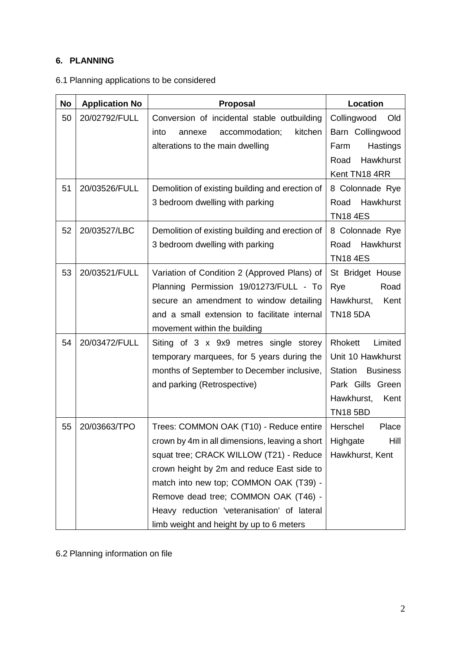#### **6. PLANNING**

|  | 6.1 Planning applications to be considered |  |  |
|--|--------------------------------------------|--|--|
|--|--------------------------------------------|--|--|

| <b>No</b> | <b>Application No</b> | Proposal                                        | Location                          |
|-----------|-----------------------|-------------------------------------------------|-----------------------------------|
| 50        | 20/02792/FULL         | Conversion of incidental stable outbuilding     | Collingwood<br>Old                |
|           |                       | accommodation;<br>kitchen<br>into<br>annexe     | Barn Collingwood                  |
|           |                       | alterations to the main dwelling                | Hastings<br>Farm                  |
|           |                       |                                                 | Hawkhurst<br>Road                 |
|           |                       |                                                 | Kent TN18 4RR                     |
| 51        | 20/03526/FULL         | Demolition of existing building and erection of | 8 Colonnade Rye                   |
|           |                       | 3 bedroom dwelling with parking                 | Hawkhurst<br>Road                 |
|           |                       |                                                 | <b>TN18 4ES</b>                   |
| 52        | 20/03527/LBC          | Demolition of existing building and erection of | 8 Colonnade Rye                   |
|           |                       | 3 bedroom dwelling with parking                 | Hawkhurst<br>Road                 |
|           |                       |                                                 | <b>TN18 4ES</b>                   |
| 53        | 20/03521/FULL         | Variation of Condition 2 (Approved Plans) of    | St Bridget House                  |
|           |                       | Planning Permission 19/01273/FULL - To          | Rye<br>Road                       |
|           |                       | secure an amendment to window detailing         | Kent<br>Hawkhurst,                |
|           |                       | and a small extension to facilitate internal    | <b>TN18 5DA</b>                   |
|           |                       | movement within the building                    |                                   |
| 54        | 20/03472/FULL         | Siting of 3 x 9x9 metres single storey          | Rhokett<br>Limited                |
|           |                       | temporary marquees, for 5 years during the      | Unit 10 Hawkhurst                 |
|           |                       | months of September to December inclusive,      | <b>Station</b><br><b>Business</b> |
|           |                       | and parking (Retrospective)                     | Park Gills Green                  |
|           |                       |                                                 | Hawkhurst,<br>Kent                |
|           |                       |                                                 | <b>TN18 5BD</b>                   |
| 55        | 20/03663/TPO          | Trees: COMMON OAK (T10) - Reduce entire         | Herschel<br>Place                 |
|           |                       | crown by 4m in all dimensions, leaving a short  | Hill<br>Highgate                  |
|           |                       | squat tree; CRACK WILLOW (T21) - Reduce         | Hawkhurst, Kent                   |
|           |                       | crown height by 2m and reduce East side to      |                                   |
|           |                       | match into new top; COMMON OAK (T39) -          |                                   |
|           |                       | Remove dead tree; COMMON OAK (T46) -            |                                   |
|           |                       | Heavy reduction 'veteranisation' of lateral     |                                   |
|           |                       | limb weight and height by up to 6 meters        |                                   |

6.2 Planning information on file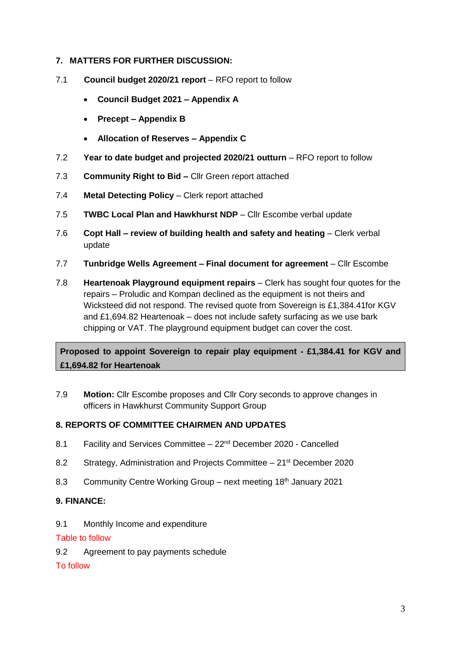#### **7. MATTERS FOR FURTHER DISCUSSION:**

- 7.1 **Council budget 2020/21 report** RFO report to follow
	- **Council Budget 2021 – Appendix A**
	- **Precept – Appendix B**
	- **Allocation of Reserves – Appendix C**
- 7.2 **Year to date budget and projected 2020/21 outturn**  RFO report to follow
- 7.3 **Community Right to Bid –** Cllr Green report attached
- 7.4 **Metal Detecting Policy** Clerk report attached
- 7.5 **TWBC Local Plan and Hawkhurst NDP**  Cllr Escombe verbal update
- 7.6 **Copt Hall – review of building health and safety and heating**  Clerk verbal update
- 7.7 **Tunbridge Wells Agreement – Final document for agreement** Cllr Escombe
- 7.8 **Heartenoak Playground equipment repairs** Clerk has sought four quotes for the repairs – Proludic and Kompan declined as the equipment is not theirs and Wicksteed did not respond. The revised quote from Sovereign is £1,384.41for KGV and £1,694.82 Heartenoak – does not include safety surfacing as we use bark chipping or VAT. The playground equipment budget can cover the cost.

**Proposed to appoint Sovereign to repair play equipment - £1,384.41 for KGV and £1,694.82 for Heartenoak** 

7.9 **Motion:** Cllr Escombe proposes and Cllr Cory seconds to approve changes in officers in Hawkhurst Community Support Group

#### **8. REPORTS OF COMMITTEE CHAIRMEN AND UPDATES**

- 8.1 Facility and Services Committee 22<sup>nd</sup> December 2020 Cancelled
- 8.2 Strategy, Administration and Projects Committee 21<sup>st</sup> December 2020
- 8.3 Community Centre Working Group next meeting 18<sup>th</sup> January 2021

#### **9. FINANCE:**

9.1 Monthly Income and expenditure

#### Table to follow

9.2 Agreement to pay payments schedule

To follow